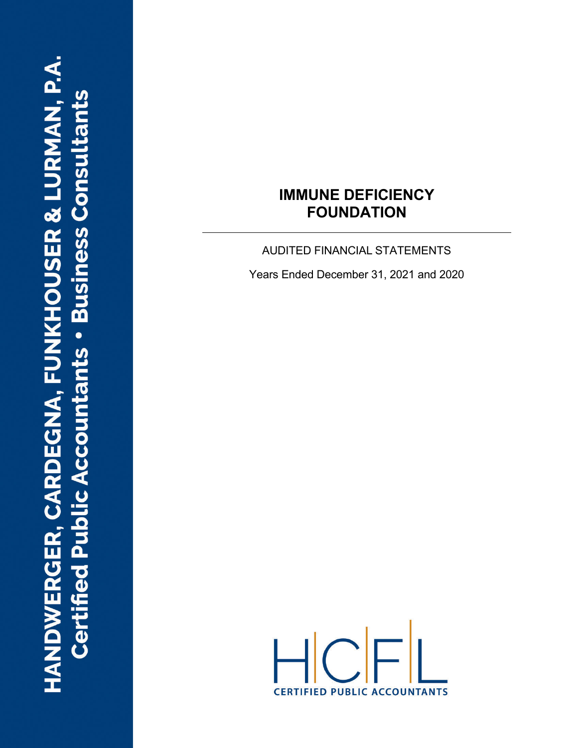AUDITED FINANCIAL STATEMENTS

Years Ended December 31, 2021 and 2020

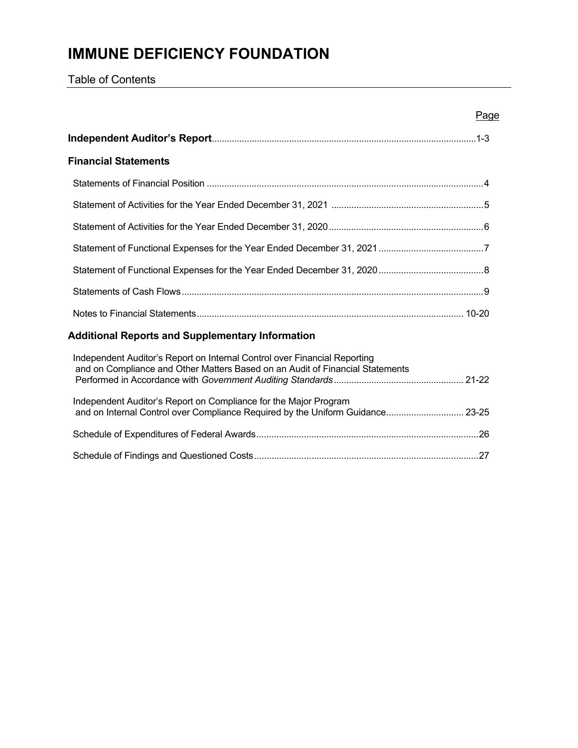Table of Contents

| Page                                                                                                                                                       |  |
|------------------------------------------------------------------------------------------------------------------------------------------------------------|--|
|                                                                                                                                                            |  |
| <b>Financial Statements</b>                                                                                                                                |  |
|                                                                                                                                                            |  |
|                                                                                                                                                            |  |
|                                                                                                                                                            |  |
|                                                                                                                                                            |  |
|                                                                                                                                                            |  |
|                                                                                                                                                            |  |
|                                                                                                                                                            |  |
| <b>Additional Reports and Supplementary Information</b>                                                                                                    |  |
| Independent Auditor's Report on Internal Control over Financial Reporting<br>and on Compliance and Other Matters Based on an Audit of Financial Statements |  |
| Independent Auditor's Report on Compliance for the Major Program                                                                                           |  |
|                                                                                                                                                            |  |
|                                                                                                                                                            |  |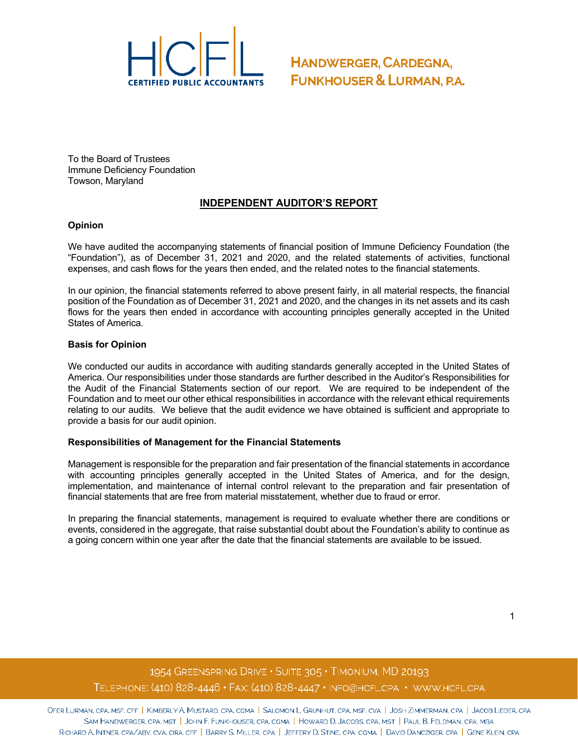

To the Board of Trustees Immune Deficiency Foundation Towson, Maryland

#### **INDEPENDENT AUDITOR'S REPORT**

#### **Opinion**

We have audited the accompanying statements of financial position of Immune Deficiency Foundation (the "Foundation"), as of December 31, 2021 and 2020, and the related statements of activities, functional expenses, and cash flows for the years then ended, and the related notes to the financial statements.

In our opinion, the financial statements referred to above present fairly, in all material respects, the financial position of the Foundation as of December 31, 2021 and 2020, and the changes in its net assets and its cash flows for the years then ended in accordance with accounting principles generally accepted in the United States of America.

#### **Basis for Opinion**

We conducted our audits in accordance with auditing standards generally accepted in the United States of America. Our responsibilities under those standards are further described in the Auditor's Responsibilities for the Audit of the Financial Statements section of our report. We are required to be independent of the Foundation and to meet our other ethical responsibilities in accordance with the relevant ethical requirements relating to our audits. We believe that the audit evidence we have obtained is sufficient and appropriate to provide a basis for our audit opinion.

#### **Responsibilities of Management for the Financial Statements**

Management is responsible for the preparation and fair presentation of the financial statements in accordance with accounting principles generally accepted in the United States of America, and for the design, implementation, and maintenance of internal control relevant to the preparation and fair presentation of financial statements that are free from material misstatement, whether due to fraud or error.

In preparing the financial statements, management is required to evaluate whether there are conditions or events, considered in the aggregate, that raise substantial doubt about the Foundation's ability to continue as a going concern within one year after the date that the financial statements are available to be issued.

## 1954 GREENSPRING DRIVE . SUITE 305 . TIMONIUM, MD 20193 TELEPHONE: (410) 828-4446 · FAX: (410) 828-4447 · INFO@HCFL.CPA · WWW.HCFL.CPA

OFER LURMAN, CPA, MSF, CFF | KIMBERLY A. MUSTARD, CPA, CGMA | SALOMON L. GRUNHUT, CPA, MSF, CVA | JOSH ZIMMERMAN, CPA | JACOB LIEDER, CPA SAM HANDWERGER, CPA, MST | JOHN F. FUNKHOUSER, CPA, CGMA | HOWARD D. JACOBS, CPA, MST | PAUL B. FELDMAN, CPA, MBA RICHARD A. INTNER, CPA/ABV, CVA, CIRA, CFF | BARRY S. MILLER, CPA | JEFFERY D. STINE, CPA, CGMA | DAVID DANCZIGER, CPA | GENE KLEIN, CPA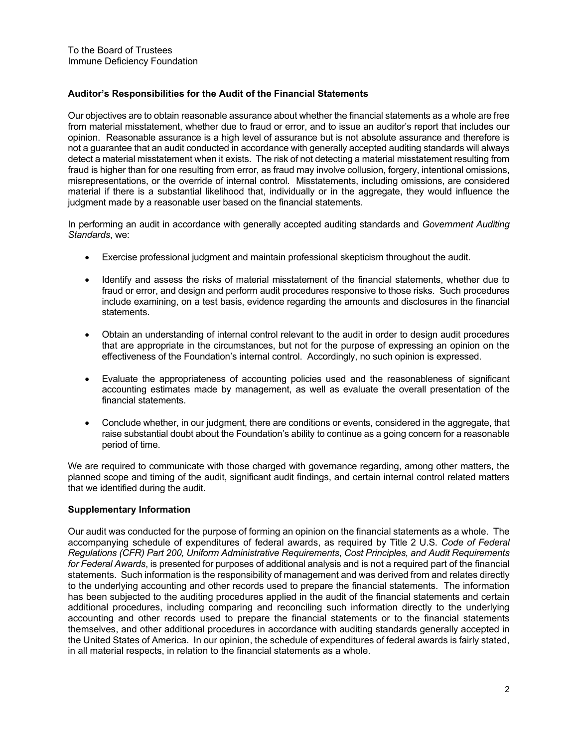#### **Auditor's Responsibilities for the Audit of the Financial Statements**

Our objectives are to obtain reasonable assurance about whether the financial statements as a whole are free from material misstatement, whether due to fraud or error, and to issue an auditor's report that includes our opinion. Reasonable assurance is a high level of assurance but is not absolute assurance and therefore is not a guarantee that an audit conducted in accordance with generally accepted auditing standards will always detect a material misstatement when it exists. The risk of not detecting a material misstatement resulting from fraud is higher than for one resulting from error, as fraud may involve collusion, forgery, intentional omissions, misrepresentations, or the override of internal control. Misstatements, including omissions, are considered material if there is a substantial likelihood that, individually or in the aggregate, they would influence the judgment made by a reasonable user based on the financial statements.

In performing an audit in accordance with generally accepted auditing standards and *Government Auditing Standards*, we:

- Exercise professional judgment and maintain professional skepticism throughout the audit.
- Identify and assess the risks of material misstatement of the financial statements, whether due to fraud or error, and design and perform audit procedures responsive to those risks. Such procedures include examining, on a test basis, evidence regarding the amounts and disclosures in the financial statements.
- Obtain an understanding of internal control relevant to the audit in order to design audit procedures that are appropriate in the circumstances, but not for the purpose of expressing an opinion on the effectiveness of the Foundation's internal control. Accordingly, no such opinion is expressed.
- Evaluate the appropriateness of accounting policies used and the reasonableness of significant accounting estimates made by management, as well as evaluate the overall presentation of the financial statements.
- Conclude whether, in our judgment, there are conditions or events, considered in the aggregate, that raise substantial doubt about the Foundation's ability to continue as a going concern for a reasonable period of time.

We are required to communicate with those charged with governance regarding, among other matters, the planned scope and timing of the audit, significant audit findings, and certain internal control related matters that we identified during the audit.

#### **Supplementary Information**

Our audit was conducted for the purpose of forming an opinion on the financial statements as a whole. The accompanying schedule of expenditures of federal awards, as required by Title 2 U.S. *Code of Federal Regulations (CFR) Part 200, Uniform Administrative Requirements*, *Cost Principles, and Audit Requirements for Federal Awards*, is presented for purposes of additional analysis and is not a required part of the financial statements. Such information is the responsibility of management and was derived from and relates directly to the underlying accounting and other records used to prepare the financial statements. The information has been subjected to the auditing procedures applied in the audit of the financial statements and certain additional procedures, including comparing and reconciling such information directly to the underlying accounting and other records used to prepare the financial statements or to the financial statements themselves, and other additional procedures in accordance with auditing standards generally accepted in the United States of America. In our opinion, the schedule of expenditures of federal awards is fairly stated, in all material respects, in relation to the financial statements as a whole.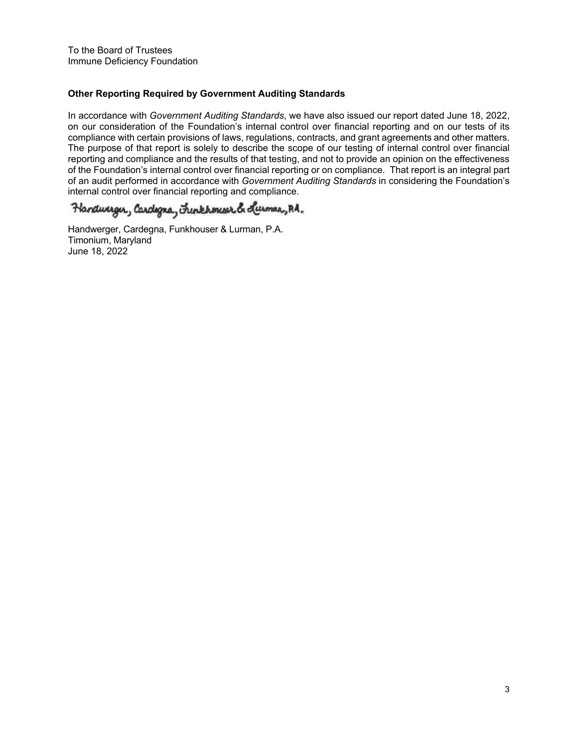#### **Other Reporting Required by Government Auditing Standards**

In accordance with *Government Auditing Standards*, we have also issued our report dated June 18, 2022, on our consideration of the Foundation's internal control over financial reporting and on our tests of its compliance with certain provisions of laws, regulations, contracts, and grant agreements and other matters. The purpose of that report is solely to describe the scope of our testing of internal control over financial reporting and compliance and the results of that testing, and not to provide an opinion on the effectiveness of the Foundation's internal control over financial reporting or on compliance. That report is an integral part of an audit performed in accordance with *Government Auditing Standards* in considering the Foundation's internal control over financial reporting and compliance.

Handweiger, Cardigna, Frinkhonwerch Luman, RA.

Handwerger, Cardegna, Funkhouser & Lurman, P.A. Timonium, Maryland June 18, 2022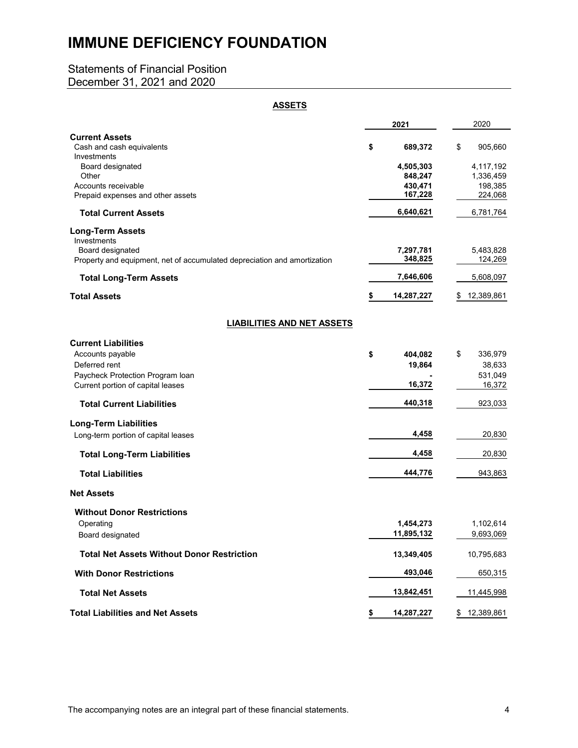## Statements of Financial Position

December 31, 2021 and 2020

| <b>ASSETS</b>                                                            |                                 |                                   |
|--------------------------------------------------------------------------|---------------------------------|-----------------------------------|
|                                                                          | 2021                            | 2020                              |
| <b>Current Assets</b><br>Cash and cash equivalents<br>Investments        | \$<br>689,372                   | \$<br>905,660                     |
| Board designated<br>Other<br>Accounts receivable                         | 4,505,303<br>848,247<br>430,471 | 4,117,192<br>1,336,459<br>198,385 |
| Prepaid expenses and other assets                                        | 167,228                         | 224,068                           |
| <b>Total Current Assets</b>                                              | 6,640,621                       | 6,781,764                         |
| <b>Long-Term Assets</b><br>Investments<br>Board designated               | 7,297,781                       | 5,483,828                         |
| Property and equipment, net of accumulated depreciation and amortization | 348,825                         | 124,269                           |
| <b>Total Long-Term Assets</b>                                            | 7,646,606                       | 5,608,097                         |
| <b>Total Assets</b>                                                      | \$<br>14,287,227                | <u>12,389,861</u>                 |
| <b>LIABILITIES AND NET ASSETS</b>                                        |                                 |                                   |
| <b>Current Liabilities</b>                                               |                                 |                                   |
| Accounts payable                                                         | \$<br>404,082                   | \$<br>336,979                     |
| Deferred rent<br>Paycheck Protection Program Ioan                        | 19,864                          | 38,633<br>531,049                 |
| Current portion of capital leases                                        | 16,372                          | 16,372                            |
| <b>Total Current Liabilities</b>                                         | 440,318                         | 923,033                           |
| <b>Long-Term Liabilities</b>                                             |                                 |                                   |
| Long-term portion of capital leases                                      | 4,458                           | 20,830                            |
| <b>Total Long-Term Liabilities</b>                                       | 4,458                           | 20,830                            |
| <b>Total Liabilities</b>                                                 | 444,776                         | 943,863                           |
| <b>Net Assets</b>                                                        |                                 |                                   |
| <b>Without Donor Restrictions</b>                                        |                                 |                                   |
| Operating<br>Board designated                                            | 1,454,273<br>11,895,132         | 1,102,614<br>9,693,069            |
| <b>Total Net Assets Without Donor Restriction</b>                        | 13,349,405                      | 10,795,683                        |
| <b>With Donor Restrictions</b>                                           | 493,046                         | 650,315                           |
| <b>Total Net Assets</b>                                                  | 13,842,451                      | 11,445,998                        |
| <b>Total Liabilities and Net Assets</b>                                  | \$<br>14,287,227                | \$<br>12,389,861                  |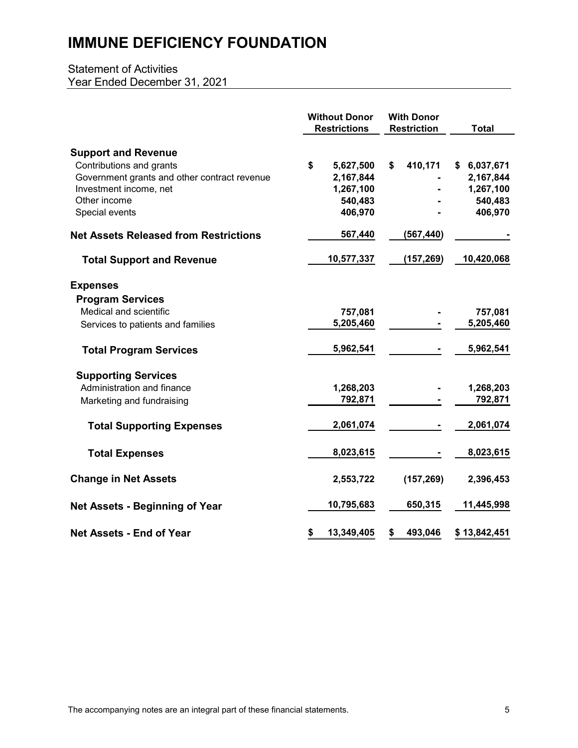## Statement of Activities Year Ended December 31, 2021

|                                                                                                                                                  | <b>Without Donor</b><br><b>Restrictions</b>          | <b>With Donor</b><br><b>Restriction</b> | <b>Total</b>                                     |
|--------------------------------------------------------------------------------------------------------------------------------------------------|------------------------------------------------------|-----------------------------------------|--------------------------------------------------|
| <b>Support and Revenue</b><br>Contributions and grants<br>Government grants and other contract revenue<br>Investment income, net<br>Other income | \$<br>5,627,500<br>2,167,844<br>1,267,100<br>540,483 | 410,171<br>\$                           | \$6,037,671<br>2,167,844<br>1,267,100<br>540,483 |
| Special events                                                                                                                                   | 406,970                                              |                                         | 406,970                                          |
| <b>Net Assets Released from Restrictions</b>                                                                                                     | 567,440                                              | (567, 440)                              |                                                  |
| <b>Total Support and Revenue</b>                                                                                                                 | 10,577,337                                           | (157, 269)                              | 10,420,068                                       |
| <b>Expenses</b>                                                                                                                                  |                                                      |                                         |                                                  |
| <b>Program Services</b>                                                                                                                          |                                                      |                                         |                                                  |
| Medical and scientific                                                                                                                           | 757,081<br>5,205,460                                 |                                         | 757,081<br>5,205,460                             |
| Services to patients and families                                                                                                                |                                                      |                                         |                                                  |
| <b>Total Program Services</b>                                                                                                                    | 5,962,541                                            |                                         | 5,962,541                                        |
| <b>Supporting Services</b>                                                                                                                       |                                                      |                                         |                                                  |
| Administration and finance                                                                                                                       | 1,268,203                                            |                                         | 1,268,203                                        |
| Marketing and fundraising                                                                                                                        | 792,871                                              |                                         | 792,871                                          |
| <b>Total Supporting Expenses</b>                                                                                                                 | 2,061,074                                            |                                         | 2,061,074                                        |
| <b>Total Expenses</b>                                                                                                                            | 8,023,615                                            |                                         | 8,023,615                                        |
| <b>Change in Net Assets</b>                                                                                                                      | 2,553,722                                            | (157, 269)                              | 2,396,453                                        |
| <b>Net Assets - Beginning of Year</b>                                                                                                            | 10,795,683                                           | 650,315                                 | 11,445,998                                       |
| <b>Net Assets - End of Year</b>                                                                                                                  | 13,349,405<br>\$                                     | 493,046<br>\$                           | \$13,842,451                                     |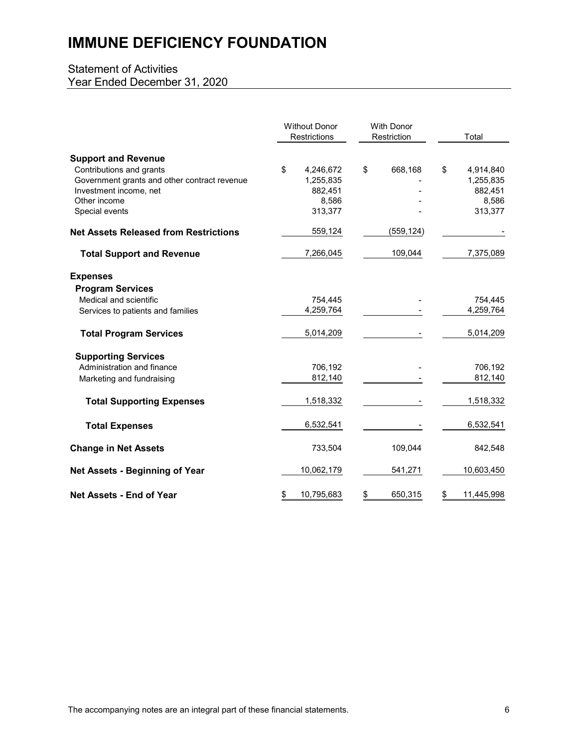## Statement of Activities Year Ended December 31, 2020

|                                                                                                                                                                    | <b>Without Donor</b><br>Restrictions                        |    | <b>With Donor</b><br>Restriction |    | Total                                                 |
|--------------------------------------------------------------------------------------------------------------------------------------------------------------------|-------------------------------------------------------------|----|----------------------------------|----|-------------------------------------------------------|
| <b>Support and Revenue</b><br>Contributions and grants<br>Government grants and other contract revenue<br>Investment income, net<br>Other income<br>Special events | \$<br>4,246,672<br>1,255,835<br>882,451<br>8,586<br>313,377 | \$ | 668,168                          | \$ | 4,914,840<br>1,255,835<br>882,451<br>8,586<br>313,377 |
| <b>Net Assets Released from Restrictions</b>                                                                                                                       | 559,124                                                     |    | (559, 124)                       |    |                                                       |
| <b>Total Support and Revenue</b>                                                                                                                                   | 7,266,045                                                   |    | 109,044                          |    | 7,375,089                                             |
| <b>Expenses</b><br><b>Program Services</b><br>Medical and scientific<br>Services to patients and families                                                          | 754,445<br>4,259,764                                        |    |                                  |    | 754,445<br>4,259,764                                  |
| <b>Total Program Services</b>                                                                                                                                      | 5,014,209                                                   |    |                                  |    | 5,014,209                                             |
| <b>Supporting Services</b><br>Administration and finance<br>Marketing and fundraising                                                                              | 706,192<br>812,140                                          |    |                                  |    | 706,192<br>812,140                                    |
| <b>Total Supporting Expenses</b>                                                                                                                                   | 1,518,332                                                   |    |                                  |    | 1,518,332                                             |
| <b>Total Expenses</b>                                                                                                                                              | 6,532,541                                                   |    |                                  |    | 6,532,541                                             |
| <b>Change in Net Assets</b>                                                                                                                                        | 733,504                                                     |    | 109,044                          |    | 842,548                                               |
| <b>Net Assets - Beginning of Year</b>                                                                                                                              | 10,062,179                                                  |    | 541,271                          |    | 10,603,450                                            |
| <b>Net Assets - End of Year</b>                                                                                                                                    | \$<br>10,795,683                                            | \$ | 650,315                          | \$ | 11,445,998                                            |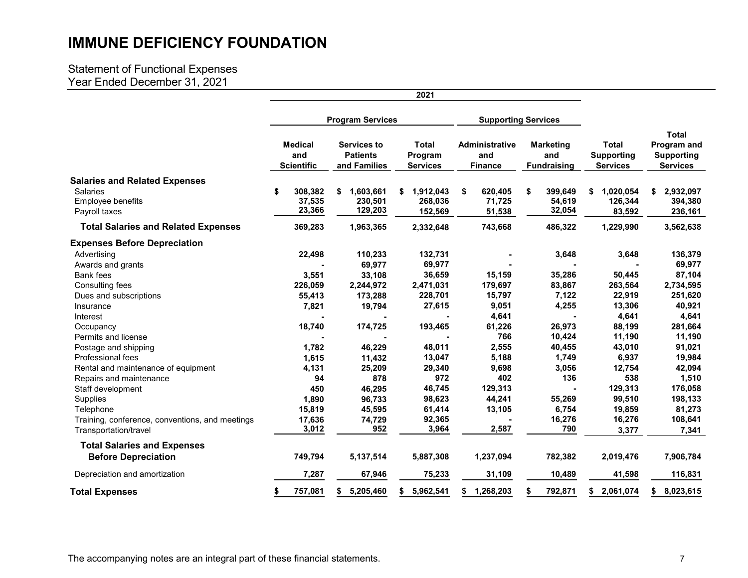## Statement of Functional Expenses Year Ended December 31, 2021

|                                                                                               |   |                                            |                                                | 2021                                       |                                                |    |                                               |                                                      |                                                                     |
|-----------------------------------------------------------------------------------------------|---|--------------------------------------------|------------------------------------------------|--------------------------------------------|------------------------------------------------|----|-----------------------------------------------|------------------------------------------------------|---------------------------------------------------------------------|
|                                                                                               |   |                                            | <b>Program Services</b>                        | <b>Supporting Services</b>                 |                                                |    |                                               |                                                      |                                                                     |
|                                                                                               |   | <b>Medical</b><br>and<br><b>Scientific</b> | Services to<br><b>Patients</b><br>and Families | <b>Total</b><br>Program<br><b>Services</b> | <b>Administrative</b><br>and<br><b>Finance</b> |    | <b>Marketing</b><br>and<br><b>Fundraising</b> | <b>Total</b><br><b>Supporting</b><br><b>Services</b> | <b>Total</b><br>Program and<br><b>Supporting</b><br><b>Services</b> |
| <b>Salaries and Related Expenses</b><br><b>Salaries</b><br>Employee benefits<br>Payroll taxes | S | 308.382<br>37,535<br>23,366                | 1,603,661<br>\$<br>230,501<br>129,203          | 1,912,043<br>\$<br>268,036<br>152,569      | 620,405<br>\$<br>71,725<br>51,538              | \$ | 399,649<br>54,619<br>32,054                   | 1,020,054<br>\$<br>126,344<br>83,592                 | 2,932,097<br>\$<br>394,380<br>236,161                               |
| <b>Total Salaries and Related Expenses</b>                                                    |   | 369,283                                    | 1,963,365                                      | 2,332,648                                  | 743,668                                        |    | 486,322                                       | 1,229,990                                            | 3,562,638                                                           |
| <b>Expenses Before Depreciation</b>                                                           |   |                                            |                                                |                                            |                                                |    |                                               |                                                      |                                                                     |
| Advertising                                                                                   |   | 22,498                                     | 110,233                                        | 132,731                                    |                                                |    | 3,648                                         | 3,648                                                | 136,379                                                             |
| Awards and grants<br><b>Bank fees</b>                                                         |   | 3,551                                      | 69,977<br>33,108                               | 69,977<br>36,659                           | 15,159                                         |    | 35,286                                        | 50,445                                               | 69,977<br>87,104                                                    |
| Consulting fees                                                                               |   | 226,059                                    | 2,244,972                                      | 2,471,031                                  | 179,697                                        |    | 83,867                                        | 263,564                                              | 2,734,595                                                           |
| Dues and subscriptions                                                                        |   | 55,413                                     | 173,288                                        | 228,701                                    | 15,797                                         |    | 7,122                                         | 22,919                                               | 251,620                                                             |
| Insurance                                                                                     |   | 7,821                                      | 19,794                                         | 27,615                                     | 9,051                                          |    | 4,255                                         | 13,306                                               | 40,921                                                              |
| Interest                                                                                      |   |                                            |                                                |                                            | 4,641                                          |    |                                               | 4,641                                                | 4,641                                                               |
| Occupancy                                                                                     |   | 18,740                                     | 174,725                                        | 193,465                                    | 61,226                                         |    | 26,973                                        | 88,199                                               | 281,664                                                             |
| Permits and license                                                                           |   |                                            |                                                |                                            | 766                                            |    | 10,424                                        | 11,190                                               | 11,190                                                              |
| Postage and shipping                                                                          |   | 1,782                                      | 46,229                                         | 48,011                                     | 2,555                                          |    | 40,455                                        | 43,010                                               | 91,021                                                              |
| Professional fees                                                                             |   | 1,615                                      | 11,432                                         | 13,047                                     | 5,188                                          |    | 1,749                                         | 6,937                                                | 19,984                                                              |
| Rental and maintenance of equipment                                                           |   | 4,131                                      | 25,209                                         | 29,340                                     | 9,698                                          |    | 3,056                                         | 12,754                                               | 42,094                                                              |
| Repairs and maintenance                                                                       |   | 94                                         | 878                                            | 972                                        | 402                                            |    | 136                                           | 538                                                  | 1,510                                                               |
| Staff development                                                                             |   | 450                                        | 46,295                                         | 46,745                                     | 129,313                                        |    |                                               | 129,313                                              | 176,058                                                             |
| Supplies                                                                                      |   | 1,890                                      | 96,733                                         | 98,623                                     | 44,241                                         |    | 55,269                                        | 99,510                                               | 198,133                                                             |
| Telephone                                                                                     |   | 15,819                                     | 45,595                                         | 61,414                                     | 13,105                                         |    | 6,754                                         | 19,859                                               | 81,273                                                              |
| Training, conference, conventions, and meetings                                               |   | 17,636                                     | 74,729                                         | 92,365                                     |                                                |    | 16,276                                        | 16,276                                               | 108,641                                                             |
| Transportation/travel                                                                         |   | 3,012                                      | 952                                            | 3,964                                      | 2,587                                          |    | 790                                           | 3,377                                                | 7,341                                                               |
| <b>Total Salaries and Expenses</b><br><b>Before Depreciation</b>                              |   | 749,794                                    | 5,137,514                                      | 5,887,308                                  | 1,237,094                                      |    | 782,382                                       | 2,019,476                                            | 7,906,784                                                           |
| Depreciation and amortization                                                                 |   | 7,287                                      | 67,946                                         | 75,233                                     | 31,109                                         |    | 10,489                                        | 41,598                                               | 116,831                                                             |
| <b>Total Expenses</b>                                                                         |   | 757,081                                    | 5,205,460<br>\$                                | 5,962,541<br>\$                            | \$1,268,203                                    |    | 792,871                                       | \$2,061,074                                          | \$8,023,615                                                         |

The accompanying notes are an integral part of these financial statements.<br>
The accompanying notes are an integral part of these financial statements.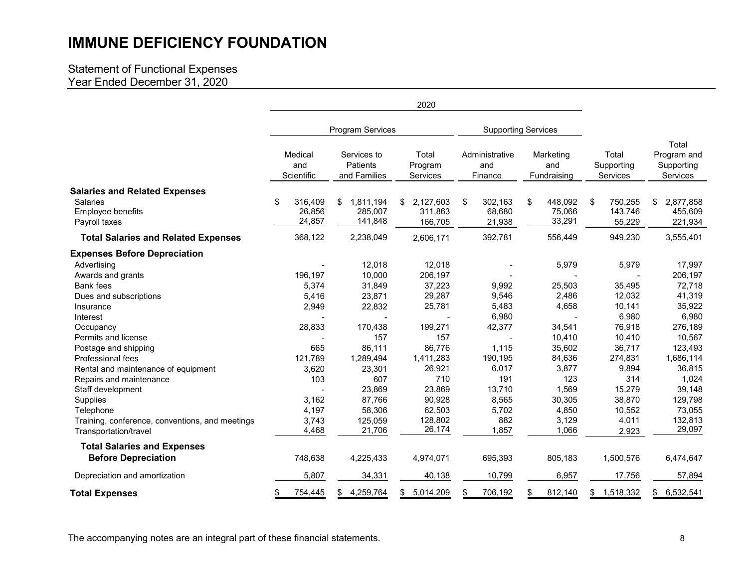### Statement of Functional Expenses Year Ended December 31, 2020

|                                                                                               | 2020 |                              |     |                                         |    |                                 |    |                                  |                                   |                                    |                                                |
|-----------------------------------------------------------------------------------------------|------|------------------------------|-----|-----------------------------------------|----|---------------------------------|----|----------------------------------|-----------------------------------|------------------------------------|------------------------------------------------|
|                                                                                               |      |                              |     | Program Services                        |    |                                 |    | <b>Supporting Services</b>       |                                   |                                    |                                                |
|                                                                                               |      | Medical<br>and<br>Scientific |     | Services to<br>Patients<br>and Families |    | Total<br>Program<br>Services    |    | Administrative<br>and<br>Finance | Marketing<br>and<br>Fundraising   | Total<br>Supporting<br>Services    | Total<br>Program and<br>Supporting<br>Services |
| <b>Salaries and Related Expenses</b><br><b>Salaries</b><br>Employee benefits<br>Payroll taxes | \$   | 316,409<br>26,856<br>24,857  | \$  | 1,811,194<br>285,007<br>141,848         | \$ | 2,127,603<br>311,863<br>166,705 | \$ | 302,163<br>68,680<br>21,938      | \$<br>448,092<br>75,066<br>33,291 | \$<br>750,255<br>143,746<br>55,229 | \$<br>2,877,858<br>455,609<br>221,934          |
| <b>Total Salaries and Related Expenses</b>                                                    |      | 368,122                      |     | 2,238,049                               |    | 2,606,171                       |    | 392,781                          | 556,449                           | 949,230                            | 3,555,401                                      |
| <b>Expenses Before Depreciation</b><br>Advertising                                            |      |                              |     | 12,018                                  |    | 12,018                          |    |                                  | 5,979                             | 5,979                              | 17,997                                         |
| Awards and grants<br><b>Bank fees</b>                                                         |      | 196,197<br>5,374             |     | 10,000<br>31,849                        |    | 206,197<br>37,223               |    | 9,992                            | 25,503                            | 35,495                             | 206,197<br>72,718                              |
| Dues and subscriptions<br>Insurance<br>Interest                                               |      | 5,416<br>2,949               |     | 23,871<br>22,832                        |    | 29,287<br>25,781                |    | 9,546<br>5,483<br>6,980          | 2,486<br>4,658                    | 12,032<br>10,141<br>6,980          | 41,319<br>35,922<br>6,980                      |
| Occupancy<br>Permits and license                                                              |      | 28,833                       |     | 170,438<br>157                          |    | 199,271<br>157                  |    | 42,377                           | 34,541<br>10,410                  | 76,918<br>10,410                   | 276,189<br>10,567                              |
| Postage and shipping<br>Professional fees                                                     |      | 665<br>121,789               |     | 86,111<br>1,289,494                     |    | 86,776<br>1,411,283             |    | 1,115<br>190,195                 | 35,602<br>84,636                  | 36,717<br>274,831                  | 123,493<br>1,686,114                           |
| Rental and maintenance of equipment<br>Repairs and maintenance<br>Staff development           |      | 3,620<br>103                 |     | 23,301<br>607<br>23,869                 |    | 26,921<br>710<br>23,869         |    | 6,017<br>191<br>13,710           | 3,877<br>123<br>1,569             | 9,894<br>314<br>15,279             | 36,815<br>1,024<br>39,148                      |
| Supplies<br>Telephone                                                                         |      | 3,162<br>4,197               |     | 87,766<br>58,306                        |    | 90,928<br>62,503                |    | 8,565<br>5,702                   | 30,305<br>4,850                   | 38,870<br>10,552                   | 129,798<br>73,055                              |
| Training, conference, conventions, and meetings<br>Transportation/travel                      |      | 3,743<br>4,468               |     | 125,059<br>21,706                       |    | 128,802<br>26,174               |    | 882<br>1,857                     | 3,129<br>1,066                    | 4,011<br>2,923                     | 132,813<br>29,097                              |
| <b>Total Salaries and Expenses</b><br><b>Before Depreciation</b>                              |      | 748,638                      |     | 4,225,433                               |    | 4,974,071                       |    | 695,393                          | 805,183                           | 1,500,576                          | 6,474,647                                      |
| Depreciation and amortization                                                                 |      | 5,807                        |     | 34,331                                  |    | 40,138                          |    | 10,799                           | 6,957                             | 17,756                             | 57,894                                         |
| <b>Total Expenses</b>                                                                         |      | 754,445                      | \$. | 4,259,764                               | \$ | 5,014,209                       | \$ | 706,192                          | \$<br>812,140                     | \$<br>1,518,332                    | \$<br>6,532,541                                |

The accompanying notes are an integral part of these financial statements. The accompanying notes are an integral part of these financial statements.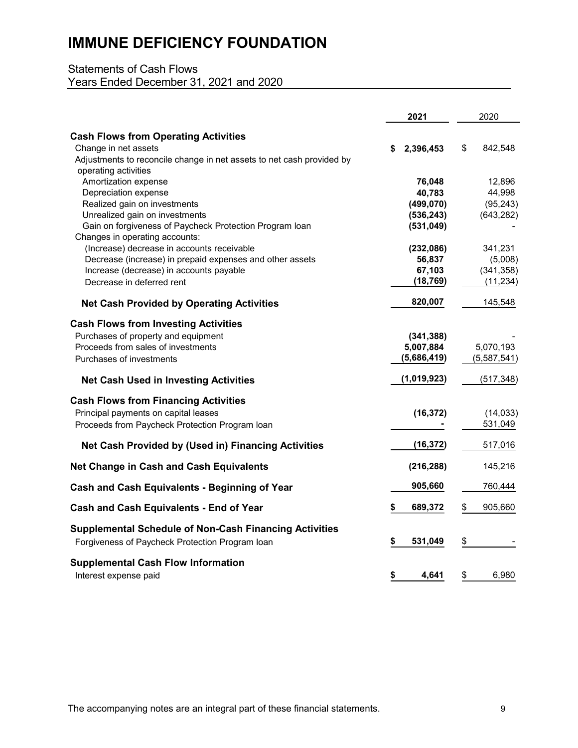## Statements of Cash Flows Years Ended December 31, 2021 and 2020

|                                                                       | 2021            | 2020          |
|-----------------------------------------------------------------------|-----------------|---------------|
| <b>Cash Flows from Operating Activities</b>                           |                 |               |
| Change in net assets                                                  | 2,396,453<br>S. | \$<br>842,548 |
| Adjustments to reconcile change in net assets to net cash provided by |                 |               |
| operating activities                                                  |                 |               |
| Amortization expense                                                  | 76,048          | 12,896        |
| Depreciation expense                                                  | 40,783          | 44,998        |
| Realized gain on investments                                          | (499, 070)      | (95, 243)     |
| Unrealized gain on investments                                        | (536, 243)      | (643, 282)    |
| Gain on forgiveness of Paycheck Protection Program Ioan               | (531, 049)      |               |
| Changes in operating accounts:                                        |                 |               |
| (Increase) decrease in accounts receivable                            | (232,086)       | 341,231       |
| Decrease (increase) in prepaid expenses and other assets              | 56,837          | (5,008)       |
| Increase (decrease) in accounts payable                               | 67,103          | (341, 358)    |
| Decrease in deferred rent                                             | (18, 769)       | (11, 234)     |
| <b>Net Cash Provided by Operating Activities</b>                      | 820,007         | 145,548       |
| <b>Cash Flows from Investing Activities</b>                           |                 |               |
| Purchases of property and equipment                                   | (341, 388)      |               |
| Proceeds from sales of investments                                    | 5,007,884       | 5,070,193     |
| Purchases of investments                                              | (5,686,419)     | (5,587,541)   |
| <b>Net Cash Used in Investing Activities</b>                          | (1,019,923)     | (517, 348)    |
| <b>Cash Flows from Financing Activities</b>                           |                 |               |
| Principal payments on capital leases                                  | (16, 372)       | (14, 033)     |
| Proceeds from Paycheck Protection Program Ioan                        |                 | 531,049       |
| Net Cash Provided by (Used in) Financing Activities                   | (16, 372)       | 517,016       |
|                                                                       |                 |               |
| <b>Net Change in Cash and Cash Equivalents</b>                        | (216, 288)      | 145,216       |
| Cash and Cash Equivalents - Beginning of Year                         | 905,660         | 760,444       |
| <b>Cash and Cash Equivalents - End of Year</b>                        | 689,372<br>\$   | \$<br>905,660 |
| <b>Supplemental Schedule of Non-Cash Financing Activities</b>         |                 |               |
| Forgiveness of Paycheck Protection Program Ioan                       | \$<br>531,049   | \$            |
| <b>Supplemental Cash Flow Information</b>                             |                 |               |
| Interest expense paid                                                 | \$<br>4.641     | \$<br>6,980   |

The accompanying notes are an integral part of these financial statements. The accompanying notes are an integral part of these financial statements.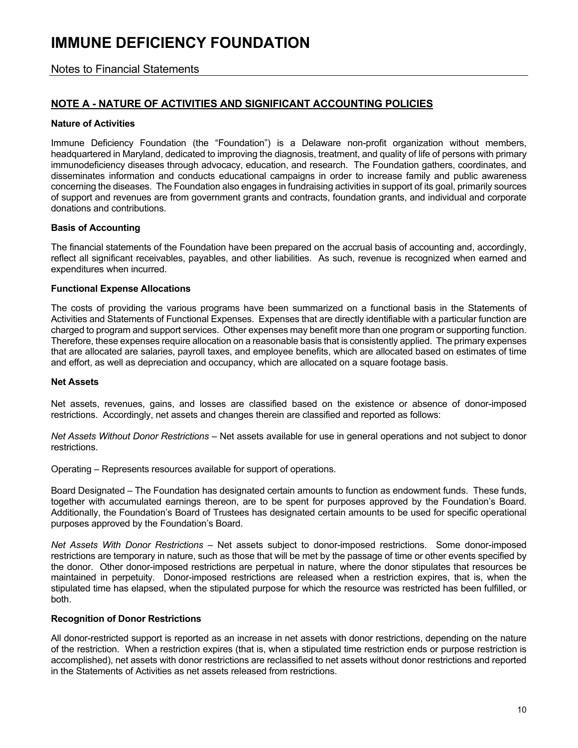Notes to Financial Statements

### **NOTE A - NATURE OF ACTIVITIES AND SIGNIFICANT ACCOUNTING POLICIES**

#### **Nature of Activities**

Immune Deficiency Foundation (the "Foundation") is a Delaware non-profit organization without members, headquartered in Maryland, dedicated to improving the diagnosis, treatment, and quality of life of persons with primary immunodeficiency diseases through advocacy, education, and research. The Foundation gathers, coordinates, and disseminates information and conducts educational campaigns in order to increase family and public awareness concerning the diseases. The Foundation also engages in fundraising activities in support of its goal, primarily sources of support and revenues are from government grants and contracts, foundation grants, and individual and corporate donations and contributions.

#### **Basis of Accounting**

The financial statements of the Foundation have been prepared on the accrual basis of accounting and, accordingly, reflect all significant receivables, payables, and other liabilities. As such, revenue is recognized when earned and expenditures when incurred.

#### **Functional Expense Allocations**

The costs of providing the various programs have been summarized on a functional basis in the Statements of Activities and Statements of Functional Expenses. Expenses that are directly identifiable with a particular function are charged to program and support services. Other expenses may benefit more than one program or supporting function. Therefore, these expenses require allocation on a reasonable basis that is consistently applied. The primary expenses that are allocated are salaries, payroll taxes, and employee benefits, which are allocated based on estimates of time and effort, as well as depreciation and occupancy, which are allocated on a square footage basis.

#### **Net Assets**

Net assets, revenues, gains, and losses are classified based on the existence or absence of donor-imposed restrictions. Accordingly, net assets and changes therein are classified and reported as follows:

*Net Assets Without Donor Restrictions* – Net assets available for use in general operations and not subject to donor restrictions.

Operating – Represents resources available for support of operations.

Board Designated – The Foundation has designated certain amounts to function as endowment funds. These funds, together with accumulated earnings thereon, are to be spent for purposes approved by the Foundation's Board. Additionally, the Foundation's Board of Trustees has designated certain amounts to be used for specific operational purposes approved by the Foundation's Board.

*Net Assets With Donor Restrictions* – Net assets subject to donor-imposed restrictions. Some donor-imposed restrictions are temporary in nature, such as those that will be met by the passage of time or other events specified by the donor. Other donor-imposed restrictions are perpetual in nature, where the donor stipulates that resources be maintained in perpetuity. Donor-imposed restrictions are released when a restriction expires, that is, when the stipulated time has elapsed, when the stipulated purpose for which the resource was restricted has been fulfilled, or both.

#### **Recognition of Donor Restrictions**

All donor-restricted support is reported as an increase in net assets with donor restrictions, depending on the nature of the restriction. When a restriction expires (that is, when a stipulated time restriction ends or purpose restriction is accomplished), net assets with donor restrictions are reclassified to net assets without donor restrictions and reported in the Statements of Activities as net assets released from restrictions.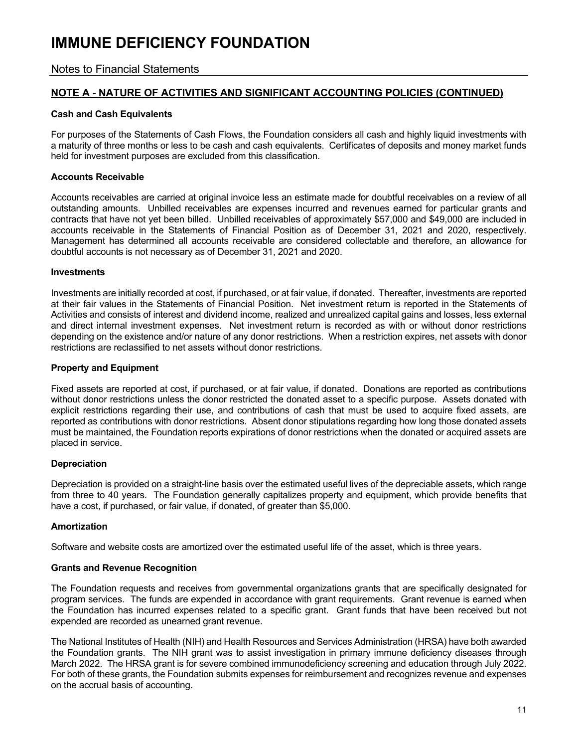Notes to Financial Statements

### **NOTE A - NATURE OF ACTIVITIES AND SIGNIFICANT ACCOUNTING POLICIES (CONTINUED)**

#### **Cash and Cash Equivalents**

For purposes of the Statements of Cash Flows, the Foundation considers all cash and highly liquid investments with a maturity of three months or less to be cash and cash equivalents. Certificates of deposits and money market funds held for investment purposes are excluded from this classification.

#### **Accounts Receivable**

Accounts receivables are carried at original invoice less an estimate made for doubtful receivables on a review of all outstanding amounts. Unbilled receivables are expenses incurred and revenues earned for particular grants and contracts that have not yet been billed. Unbilled receivables of approximately \$57,000 and \$49,000 are included in accounts receivable in the Statements of Financial Position as of December 31, 2021 and 2020, respectively. Management has determined all accounts receivable are considered collectable and therefore, an allowance for doubtful accounts is not necessary as of December 31, 2021 and 2020.

#### **Investments**

Investments are initially recorded at cost, if purchased, or at fair value, if donated. Thereafter, investments are reported at their fair values in the Statements of Financial Position. Net investment return is reported in the Statements of Activities and consists of interest and dividend income, realized and unrealized capital gains and losses, less external and direct internal investment expenses. Net investment return is recorded as with or without donor restrictions depending on the existence and/or nature of any donor restrictions. When a restriction expires, net assets with donor restrictions are reclassified to net assets without donor restrictions.

#### **Property and Equipment**

Fixed assets are reported at cost, if purchased, or at fair value, if donated. Donations are reported as contributions without donor restrictions unless the donor restricted the donated asset to a specific purpose. Assets donated with explicit restrictions regarding their use, and contributions of cash that must be used to acquire fixed assets, are reported as contributions with donor restrictions. Absent donor stipulations regarding how long those donated assets must be maintained, the Foundation reports expirations of donor restrictions when the donated or acquired assets are placed in service.

#### **Depreciation**

Depreciation is provided on a straight-line basis over the estimated useful lives of the depreciable assets, which range from three to 40 years. The Foundation generally capitalizes property and equipment, which provide benefits that have a cost, if purchased, or fair value, if donated, of greater than \$5,000.

#### **Amortization**

Software and website costs are amortized over the estimated useful life of the asset, which is three years.

#### **Grants and Revenue Recognition**

The Foundation requests and receives from governmental organizations grants that are specifically designated for program services. The funds are expended in accordance with grant requirements. Grant revenue is earned when the Foundation has incurred expenses related to a specific grant. Grant funds that have been received but not expended are recorded as unearned grant revenue.

The National Institutes of Health (NIH) and Health Resources and Services Administration (HRSA) have both awarded the Foundation grants. The NIH grant was to assist investigation in primary immune deficiency diseases through March 2022. The HRSA grant is for severe combined immunodeficiency screening and education through July 2022. For both of these grants, the Foundation submits expenses for reimbursement and recognizes revenue and expenses on the accrual basis of accounting.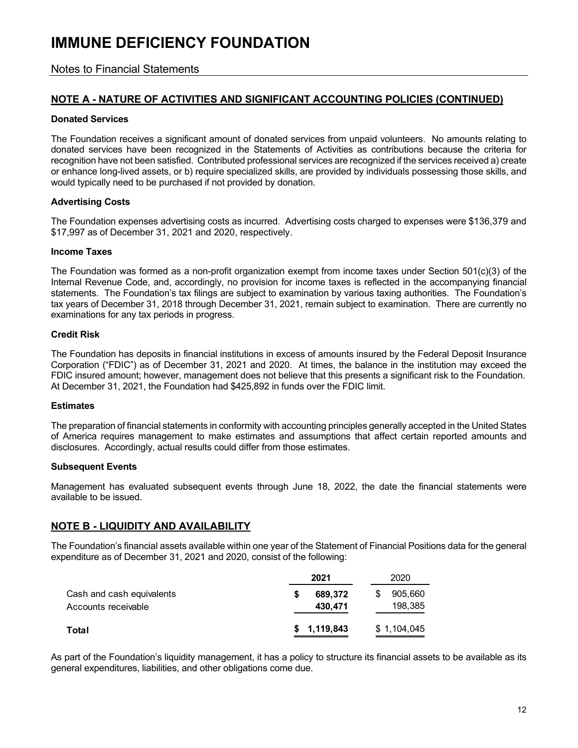### Notes to Financial Statements

### **NOTE A - NATURE OF ACTIVITIES AND SIGNIFICANT ACCOUNTING POLICIES (CONTINUED)**

#### **Donated Services**

The Foundation receives a significant amount of donated services from unpaid volunteers. No amounts relating to donated services have been recognized in the Statements of Activities as contributions because the criteria for recognition have not been satisfied. Contributed professional services are recognized if the services received a) create or enhance long-lived assets, or b) require specialized skills, are provided by individuals possessing those skills, and would typically need to be purchased if not provided by donation.

#### **Advertising Costs**

The Foundation expenses advertising costs as incurred. Advertising costs charged to expenses were \$136,379 and \$17,997 as of December 31, 2021 and 2020, respectively.

#### **Income Taxes**

The Foundation was formed as a non-profit organization exempt from income taxes under Section 501(c)(3) of the Internal Revenue Code, and, accordingly, no provision for income taxes is reflected in the accompanying financial statements. The Foundation's tax filings are subject to examination by various taxing authorities. The Foundation's tax years of December 31, 2018 through December 31, 2021, remain subject to examination. There are currently no examinations for any tax periods in progress.

#### **Credit Risk**

The Foundation has deposits in financial institutions in excess of amounts insured by the Federal Deposit Insurance Corporation ("FDIC") as of December 31, 2021 and 2020. At times, the balance in the institution may exceed the FDIC insured amount; however, management does not believe that this presents a significant risk to the Foundation. At December 31, 2021, the Foundation had \$425,892 in funds over the FDIC limit.

#### **Estimates**

The preparation of financial statements in conformity with accounting principles generally accepted in the United States of America requires management to make estimates and assumptions that affect certain reported amounts and disclosures. Accordingly, actual results could differ from those estimates.

#### **Subsequent Events**

Management has evaluated subsequent events through June 18, 2022, the date the financial statements were available to be issued.

### **NOTE B - LIQUIDITY AND AVAILABILITY**

The Foundation's financial assets available within one year of the Statement of Financial Positions data for the general expenditure as of December 31, 2021 and 2020, consist of the following:

|                                                  | 2021               | 2020                    |
|--------------------------------------------------|--------------------|-------------------------|
| Cash and cash equivalents<br>Accounts receivable | 689.372<br>430,471 | 905,660<br>S<br>198.385 |
| Total                                            | \$1,119,843        | \$1,104,045             |

As part of the Foundation's liquidity management, it has a policy to structure its financial assets to be available as its general expenditures, liabilities, and other obligations come due.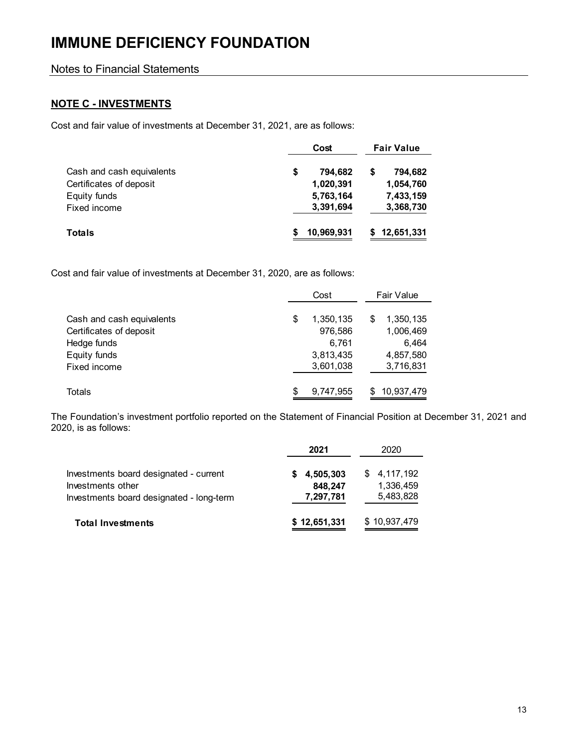## Notes to Financial Statements

## **NOTE C - INVESTMENTS**

Cost and fair value of investments at December 31, 2021, are as follows:

|                           | Cost          |  |            |
|---------------------------|---------------|--|------------|
| Cash and cash equivalents | \$<br>794,682 |  | 794,682    |
| Certificates of deposit   | 1,020,391     |  | 1,054,760  |
| Equity funds              | 5,763,164     |  | 7,433,159  |
| Fixed income              | 3,391,694     |  | 3,368,730  |
| <b>Totals</b>             | 10,969,931    |  | 12,651,331 |

Cost and fair value of investments at December 31, 2020, are as follows:

|                                                      | Cost |                      |   | <b>Fair Value</b>      |
|------------------------------------------------------|------|----------------------|---|------------------------|
|                                                      |      |                      |   |                        |
| Cash and cash equivalents<br>Certificates of deposit | \$   | 1,350,135<br>976,586 | S | 1,350,135<br>1,006,469 |
| Hedge funds                                          |      | 6,761                |   | 6,464                  |
| Equity funds                                         |      | 3,813,435            |   | 4,857,580              |
| Fixed income                                         |      | 3,601,038            |   | 3,716,831              |
| Totals                                               | \$   | 9,747,955            | S | 10,937,479             |

The Foundation's investment portfolio reported on the Statement of Financial Position at December 31, 2021 and 2020, is as follows:

|                                                                                                         | 2021                                | 2020                                  |
|---------------------------------------------------------------------------------------------------------|-------------------------------------|---------------------------------------|
| Investments board designated - current<br>Investments other<br>Investments board designated - long-term | \$4,505,303<br>848,247<br>7,297,781 | \$4,117,192<br>1,336,459<br>5,483,828 |
| <b>Total Investments</b>                                                                                | \$12,651,331                        | \$10,937,479                          |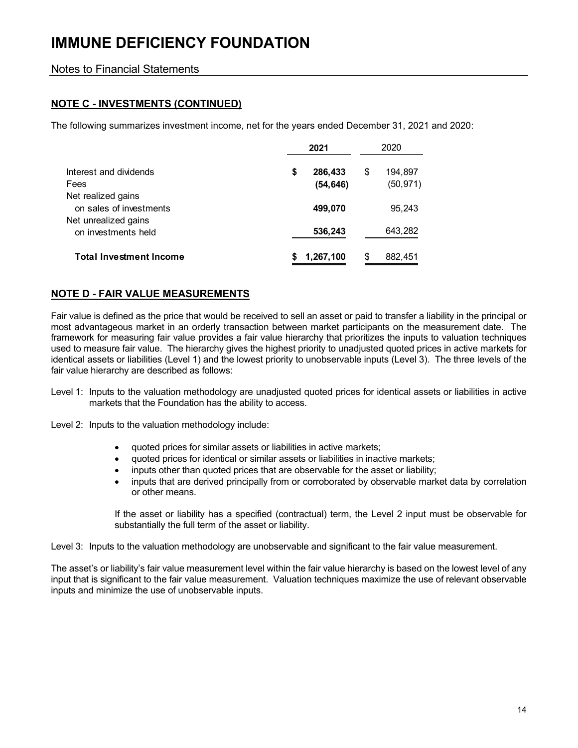## Notes to Financial Statements

## **NOTE C - INVESTMENTS (CONTINUED)**

The following summarizes investment income, net for the years ended December 31, 2021 and 2020:

|                                               | 2021                       |    |                      |
|-----------------------------------------------|----------------------------|----|----------------------|
| Interest and dividends<br>Fees                | \$<br>286,433<br>(54, 646) | \$ | 194,897<br>(50, 971) |
| Net realized gains<br>on sales of investments | 499,070                    |    | 95,243               |
| Net unrealized gains<br>on investments held   | 536,243                    |    | 643,282              |
| <b>Total Investment Income</b>                | 1,267,100                  | S  | 882,451              |

### **NOTE D - FAIR VALUE MEASUREMENTS**

Fair value is defined as the price that would be received to sell an asset or paid to transfer a liability in the principal or most advantageous market in an orderly transaction between market participants on the measurement date. The framework for measuring fair value provides a fair value hierarchy that prioritizes the inputs to valuation techniques used to measure fair value. The hierarchy gives the highest priority to unadjusted quoted prices in active markets for identical assets or liabilities (Level 1) and the lowest priority to unobservable inputs (Level 3). The three levels of the fair value hierarchy are described as follows:

- Level 1: Inputs to the valuation methodology are unadjusted quoted prices for identical assets or liabilities in active markets that the Foundation has the ability to access.
- Level 2: Inputs to the valuation methodology include:
	- quoted prices for similar assets or liabilities in active markets;
	- quoted prices for identical or similar assets or liabilities in inactive markets;
	- inputs other than quoted prices that are observable for the asset or liability;
	- inputs that are derived principally from or corroborated by observable market data by correlation or other means.

If the asset or liability has a specified (contractual) term, the Level 2 input must be observable for substantially the full term of the asset or liability.

Level 3: Inputs to the valuation methodology are unobservable and significant to the fair value measurement.

The asset's or liability's fair value measurement level within the fair value hierarchy is based on the lowest level of any input that is significant to the fair value measurement. Valuation techniques maximize the use of relevant observable inputs and minimize the use of unobservable inputs.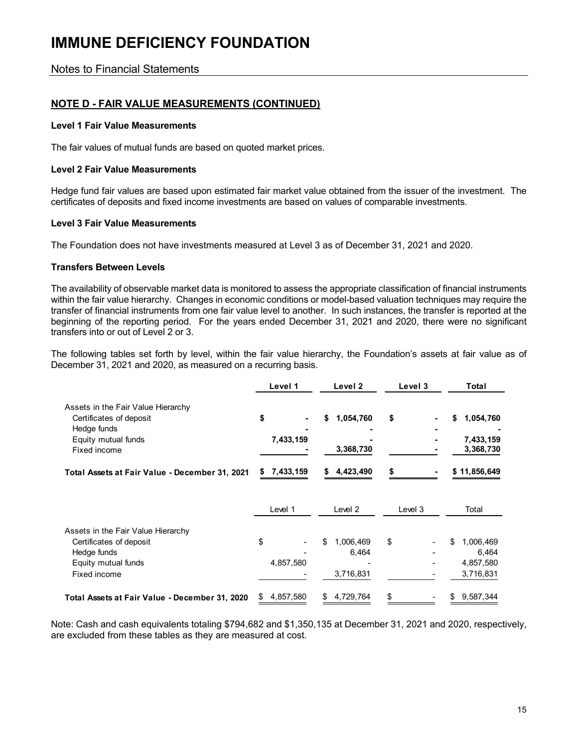Notes to Financial Statements

### **NOTE D - FAIR VALUE MEASUREMENTS (CONTINUED)**

#### **Level 1 Fair Value Measurements**

The fair values of mutual funds are based on quoted market prices.

#### **Level 2 Fair Value Measurements**

Hedge fund fair values are based upon estimated fair market value obtained from the issuer of the investment. The certificates of deposits and fixed income investments are based on values of comparable investments.

#### **Level 3 Fair Value Measurements**

The Foundation does not have investments measured at Level 3 as of December 31, 2021 and 2020.

#### **Transfers Between Levels**

The availability of observable market data is monitored to assess the appropriate classification of financial instruments within the fair value hierarchy. Changes in economic conditions or model-based valuation techniques may require the transfer of financial instruments from one fair value level to another. In such instances, the transfer is reported at the beginning of the reporting period. For the years ended December 31, 2021 and 2020, there were no significant transfers into or out of Level 2 or 3.

The following tables set forth by level, within the fair value hierarchy, the Foundation's assets at fair value as of December 31, 2021 and 2020, as measured on a recurring basis.

|                                                                                                                     | Level 1                           | Level <sub>2</sub>           | Level 3 | Total                                     |
|---------------------------------------------------------------------------------------------------------------------|-----------------------------------|------------------------------|---------|-------------------------------------------|
| Assets in the Fair Value Hierarchy<br>Certificates of deposit<br>Hedge funds<br>Equity mutual funds<br>Fixed income | \$<br>$\blacksquare$<br>7,433,159 | 1,054,760<br>\$<br>3,368,730 | \$      | 1,054,760<br>S.<br>7,433,159<br>3,368,730 |
| Total Assets at Fair Value - December 31, 2021                                                                      | 7,433,159<br>S                    | 4,423,490<br>S.              |         | \$11,856,649                              |
|                                                                                                                     | Level 1                           | Level 2                      | Level 3 | Total                                     |
| Assets in the Fair Value Hierarchy                                                                                  |                                   |                              |         |                                           |
| Certificates of deposit                                                                                             | \$                                | \$<br>1,006,469              | \$      | \$<br>1,006,469                           |
| Hedge funds                                                                                                         |                                   | 6,464                        |         | 6,464                                     |
| Equity mutual funds                                                                                                 | 4,857,580                         |                              |         | 4,857,580                                 |
| Fixed income                                                                                                        |                                   | 3,716,831                    |         | 3,716,831                                 |
| Total Assets at Fair Value - December 31, 2020                                                                      | 4,857,580<br>S                    | 4,729,764<br>\$              | \$      | 9,587,344                                 |

Note: Cash and cash equivalents totaling \$794,682 and \$1,350,135 at December 31, 2021 and 2020, respectively, are excluded from these tables as they are measured at cost.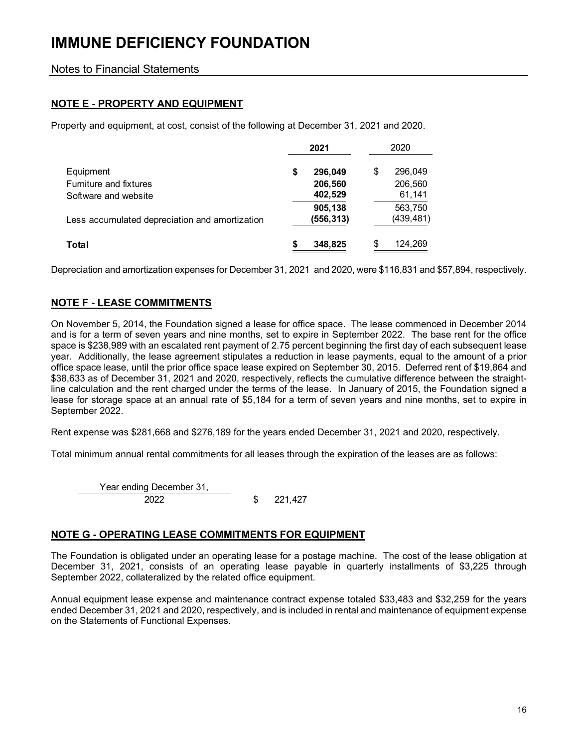Notes to Financial Statements

## **NOTE E - PROPERTY AND EQUIPMENT**

Property and equipment, at cost, consist of the following at December 31, 2021 and 2020.

|                                                |    | 2021                  | 2020                 |  |
|------------------------------------------------|----|-----------------------|----------------------|--|
| Equipment                                      | \$ | 296,049               | \$<br>296,049        |  |
| Furniture and fixtures                         |    | 206,560               | 206,560              |  |
| Software and website                           |    | 402,529               | 61,141               |  |
| Less accumulated depreciation and amortization |    | 905,138<br>(556, 313) | 563,750<br>(439,481) |  |
| Total                                          | S  | 348,825               | 124,269              |  |

Depreciation and amortization expenses for December 31, 2021 and 2020, were \$116,831 and \$57,894, respectively.

## **NOTE F - LEASE COMMITMENTS**

On November 5, 2014, the Foundation signed a lease for office space. The lease commenced in December 2014 and is for a term of seven years and nine months, set to expire in September 2022. The base rent for the office space is \$238,989 with an escalated rent payment of 2.75 percent beginning the first day of each subsequent lease year. Additionally, the lease agreement stipulates a reduction in lease payments, equal to the amount of a prior office space lease, until the prior office space lease expired on September 30, 2015. Deferred rent of \$19,864 and \$38,633 as of December 31, 2021 and 2020, respectively, reflects the cumulative difference between the straightline calculation and the rent charged under the terms of the lease. In January of 2015, the Foundation signed a lease for storage space at an annual rate of \$5,184 for a term of seven years and nine months, set to expire in September 2022.

Rent expense was \$281,668 and \$276,189 for the years ended December 31, 2021 and 2020, respectively.

Total minimum annual rental commitments for all leases through the expiration of the leases are as follows:

Year ending December 31, 2022 221,427 \$

### **NOTE G - OPERATING LEASE COMMITMENTS FOR EQUIPMENT**

The Foundation is obligated under an operating lease for a postage machine. The cost of the lease obligation at December 31, 2021, consists of an operating lease payable in quarterly installments of \$3,225 through September 2022, collateralized by the related office equipment.

Annual equipment lease expense and maintenance contract expense totaled \$33,483 and \$32,259 for the years ended December 31, 2021 and 2020, respectively, and is included in rental and maintenance of equipment expense on the Statements of Functional Expenses.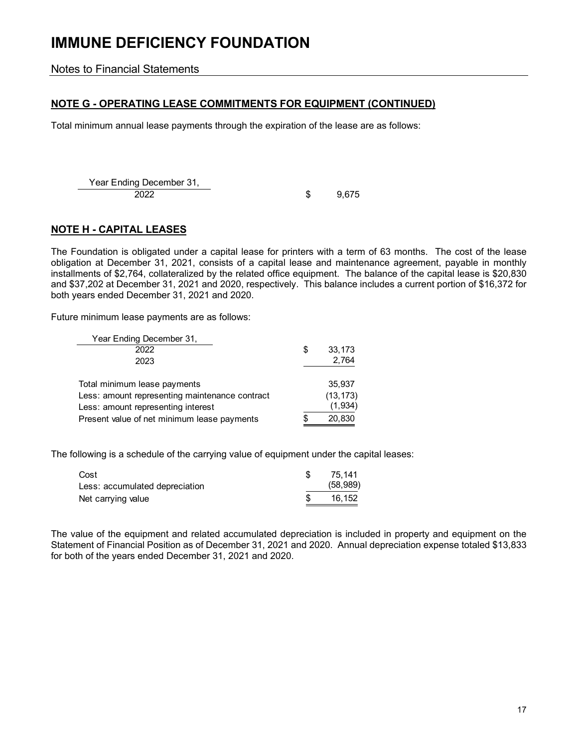Notes to Financial Statements

## **NOTE G - OPERATING LEASE COMMITMENTS FOR EQUIPMENT (CONTINUED)**

Total minimum annual lease payments through the expiration of the lease are as follows:

Year Ending December 31, 2022 \$9,675

## **NOTE H - CAPITAL LEASES**

The Foundation is obligated under a capital lease for printers with a term of 63 months. The cost of the lease obligation at December 31, 2021, consists of a capital lease and maintenance agreement, payable in monthly installments of \$2,764, collateralized by the related office equipment. The balance of the capital lease is \$20,830 and \$37,202 at December 31, 2021 and 2020, respectively. This balance includes a current portion of \$16,372 for both years ended December 31, 2021 and 2020.

Future minimum lease payments are as follows:

| Year Ending December 31,                       |              |
|------------------------------------------------|--------------|
| 2022                                           | \$<br>33,173 |
| 2023                                           | 2,764        |
| Total minimum lease payments                   | 35.937       |
| Less: amount representing maintenance contract | (13, 173)    |
| Less: amount representing interest             | (1,934)      |
| Present value of net minimum lease payments    | 20,830       |

The following is a schedule of the carrying value of equipment under the capital leases:

| Cost                           | 75.141    |
|--------------------------------|-----------|
| Less: accumulated depreciation | (58, 989) |
| Net carrying value             | 16.152    |

The value of the equipment and related accumulated depreciation is included in property and equipment on the Statement of Financial Position as of December 31, 2021 and 2020. Annual depreciation expense totaled \$13,833 for both of the years ended December 31, 2021 and 2020.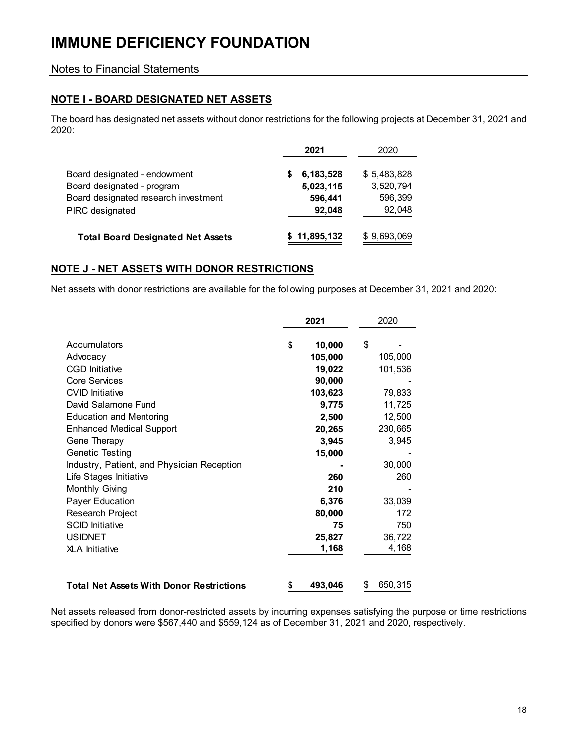### Notes to Financial Statements

## **NOTE I - BOARD DESIGNATED NET ASSETS**

The board has designated net assets without donor restrictions for the following projects at December 31, 2021 and 2020:

|                                          | 2021           | 2020        |
|------------------------------------------|----------------|-------------|
| Board designated - endowment             | 6,183,528<br>S | \$5,483,828 |
| Board designated - program               | 5,023,115      | 3,520,794   |
| Board designated research investment     | 596,441        | 596,399     |
| PIRC designated                          | 92,048         | 92,048      |
| <b>Total Board Designated Net Assets</b> | \$11,895,132   | \$9,693,069 |

### **NOTE J - NET ASSETS WITH DONOR RESTRICTIONS**

Net assets with donor restrictions are available for the following purposes at December 31, 2021 and 2020:

|                                                 | 2021          | 2020          |
|-------------------------------------------------|---------------|---------------|
| Accumulators                                    | \$<br>10,000  | \$            |
| Advocacy                                        | 105,000       | 105,000       |
| <b>CGD Initiative</b>                           | 19,022        | 101,536       |
| <b>Core Services</b>                            | 90,000        |               |
| <b>CVID Initiative</b>                          | 103,623       | 79,833        |
| David Salamone Fund                             | 9,775         | 11,725        |
| <b>Education and Mentoring</b>                  | 2,500         | 12,500        |
| <b>Enhanced Medical Support</b>                 | 20,265        | 230,665       |
| Gene Therapy                                    | 3,945         | 3,945         |
| Genetic Testing                                 | 15,000        |               |
| Industry, Patient, and Physician Reception      |               | 30,000        |
| Life Stages Initiative                          | 260           | 260           |
| Monthly Giving                                  | 210           |               |
| <b>Payer Education</b>                          | 6,376         | 33,039        |
| Research Project                                | 80,000        | 172           |
| <b>SCID Initiative</b>                          | 75            | 750           |
| <b>USIDNET</b>                                  | 25,827        | 36,722        |
| <b>XLA Initiative</b>                           | 1,168         | 4,168         |
| <b>Total Net Assets With Donor Restrictions</b> | \$<br>493,046 | \$<br>650,315 |

Net assets released from donor-restricted assets by incurring expenses satisfying the purpose or time restrictions specified by donors were \$567,440 and \$559,124 as of December 31, 2021 and 2020, respectively.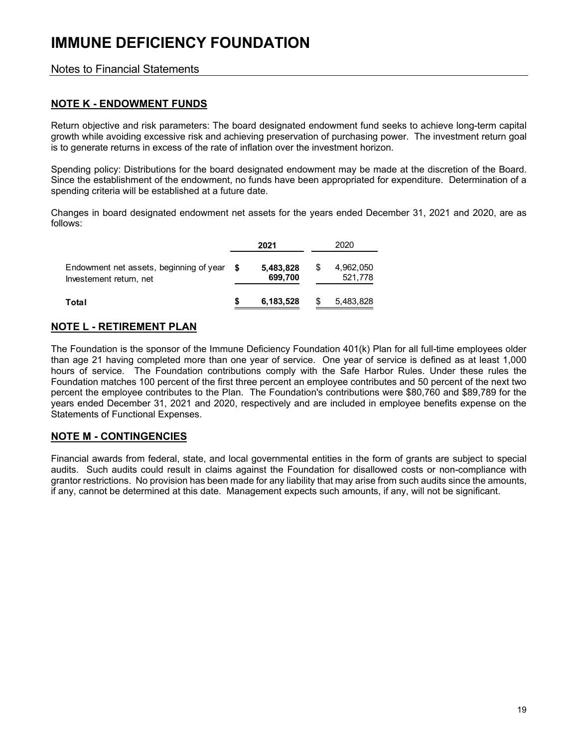### Notes to Financial Statements

### **NOTE K - ENDOWMENT FUNDS**

Return objective and risk parameters: The board designated endowment fund seeks to achieve long-term capital growth while avoiding excessive risk and achieving preservation of purchasing power. The investment return goal is to generate returns in excess of the rate of inflation over the investment horizon.

Spending policy: Distributions for the board designated endowment may be made at the discretion of the Board. Since the establishment of the endowment, no funds have been appropriated for expenditure. Determination of a spending criteria will be established at a future date.

Changes in board designated endowment net assets for the years ended December 31, 2021 and 2020, are as follows:

|                                                                    |   | 2021                 | 2020                 |
|--------------------------------------------------------------------|---|----------------------|----------------------|
| Endowment net assets, beginning of year<br>Investement return, net | S | 5,483,828<br>699,700 | 4,962,050<br>521,778 |
| Total                                                              |   | 6,183,528            | 5,483,828            |

## **NOTE L - RETIREMENT PLAN**

The Foundation is the sponsor of the Immune Deficiency Foundation 401(k) Plan for all full-time employees older than age 21 having completed more than one year of service. One year of service is defined as at least 1,000 hours of service. The Foundation contributions comply with the Safe Harbor Rules. Under these rules the Foundation matches 100 percent of the first three percent an employee contributes and 50 percent of the next two percent the employee contributes to the Plan. The Foundation's contributions were \$80,760 and \$89,789 for the years ended December 31, 2021 and 2020, respectively and are included in employee benefits expense on the Statements of Functional Expenses.

### **NOTE M - CONTINGENCIES**

Financial awards from federal, state, and local governmental entities in the form of grants are subject to special audits. Such audits could result in claims against the Foundation for disallowed costs or non-compliance with grantor restrictions. No provision has been made for any liability that may arise from such audits since the amounts, if any, cannot be determined at this date. Management expects such amounts, if any, will not be significant.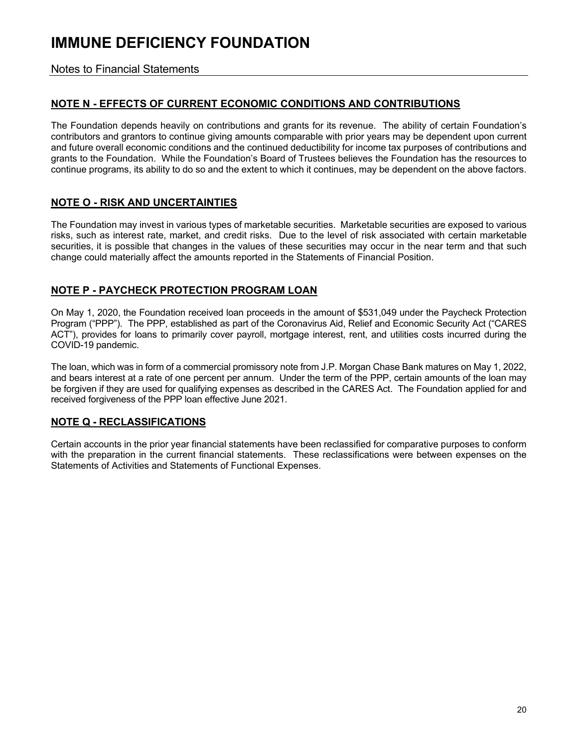Notes to Financial Statements

## **NOTE N - EFFECTS OF CURRENT ECONOMIC CONDITIONS AND CONTRIBUTIONS**

The Foundation depends heavily on contributions and grants for its revenue. The ability of certain Foundation's contributors and grantors to continue giving amounts comparable with prior years may be dependent upon current and future overall economic conditions and the continued deductibility for income tax purposes of contributions and grants to the Foundation. While the Foundation's Board of Trustees believes the Foundation has the resources to continue programs, its ability to do so and the extent to which it continues, may be dependent on the above factors.

## **NOTE O - RISK AND UNCERTAINTIES**

The Foundation may invest in various types of marketable securities. Marketable securities are exposed to various risks, such as interest rate, market, and credit risks. Due to the level of risk associated with certain marketable securities, it is possible that changes in the values of these securities may occur in the near term and that such change could materially affect the amounts reported in the Statements of Financial Position.

## **NOTE P - PAYCHECK PROTECTION PROGRAM LOAN**

On May 1, 2020, the Foundation received loan proceeds in the amount of \$531,049 under the Paycheck Protection Program ("PPP"). The PPP, established as part of the Coronavirus Aid, Relief and Economic Security Act ("CARES ACT"), provides for loans to primarily cover payroll, mortgage interest, rent, and utilities costs incurred during the COVID-19 pandemic.

The loan, which was in form of a commercial promissory note from J.P. Morgan Chase Bank matures on May 1, 2022, and bears interest at a rate of one percent per annum. Under the term of the PPP, certain amounts of the loan may be forgiven if they are used for qualifying expenses as described in the CARES Act. The Foundation applied for and received forgiveness of the PPP loan effective June 2021.

## **NOTE Q - RECLASSIFICATIONS**

Certain accounts in the prior year financial statements have been reclassified for comparative purposes to conform with the preparation in the current financial statements. These reclassifications were between expenses on the Statements of Activities and Statements of Functional Expenses.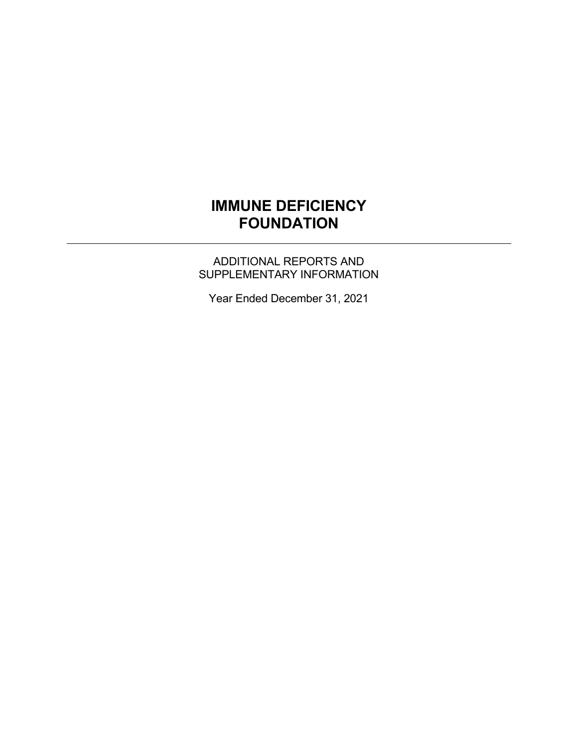ADDITIONAL REPORTS AND SUPPLEMENTARY INFORMATION

Year Ended December 31, 2021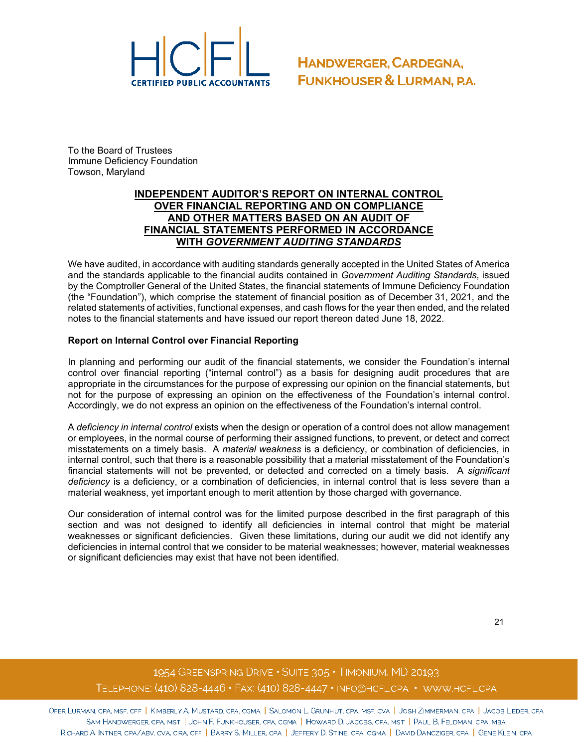

To the Board of Trustees Immune Deficiency Foundation Towson, Maryland

#### **INDEPENDENT AUDITOR'S REPORT ON INTERNAL CONTROL OVER FINANCIAL REPORTING AND ON COMPLIANCE AND OTHER MATTERS BASED ON AN AUDIT OF FINANCIAL STATEMENTS PERFORMED IN ACCORDANCE WITH** *GOVERNMENT AUDITING STANDARDS*

We have audited, in accordance with auditing standards generally accepted in the United States of America and the standards applicable to the financial audits contained in *Government Auditing Standards*, issued by the Comptroller General of the United States, the financial statements of Immune Deficiency Foundation (the "Foundation"), which comprise the statement of financial position as of December 31, 2021, and the related statements of activities, functional expenses, and cash flows for the year then ended, and the related notes to the financial statements and have issued our report thereon dated June 18, 2022.

#### **Report on Internal Control over Financial Reporting**

In planning and performing our audit of the financial statements, we consider the Foundation's internal control over financial reporting ("internal control") as a basis for designing audit procedures that are appropriate in the circumstances for the purpose of expressing our opinion on the financial statements, but not for the purpose of expressing an opinion on the effectiveness of the Foundation's internal control. Accordingly, we do not express an opinion on the effectiveness of the Foundation's internal control.

A *deficiency in internal control* exists when the design or operation of a control does not allow management or employees, in the normal course of performing their assigned functions, to prevent, or detect and correct misstatements on a timely basis. A *material weakness* is a deficiency, or combination of deficiencies, in internal control, such that there is a reasonable possibility that a material misstatement of the Foundation's financial statements will not be prevented, or detected and corrected on a timely basis. A *significant deficiency* is a deficiency, or a combination of deficiencies, in internal control that is less severe than a material weakness, yet important enough to merit attention by those charged with governance.

Our consideration of internal control was for the limited purpose described in the first paragraph of this section and was not designed to identify all deficiencies in internal control that might be material weaknesses or significant deficiencies. Given these limitations, during our audit we did not identify any deficiencies in internal control that we consider to be material weaknesses; however, material weaknesses or significant deficiencies may exist that have not been identified.

## 1954 GREENSPRING DRIVE . SUITE 305 . TIMONIUM, MD 20193 TELEPHONE:  $(410)$  828-4446 · FAX:  $(410)$  828-4447 · INFO@HCFL.CPA · WWW.HCFL.CPA

Ofer Lurman, CPA, MSF, CFF | KIMBERLY A. MUSTARD, CPA, CGMA | SALOMON L. GRUNHUT, CPA, MSF, CVA | JOSH ZIMMERMAN, CPA | JACOB LIEDER, CPA SAM HANDWERGER, CPA, MST | JOHN F. FUNKHOUSER, CPA, CGMA | HOWARD D. JACOBS, CPA, MST | PAUL B. FELDMAN, CPA, MBA RICHARD A. INTNER, CPA/ABV, CVA, CIRA, CFF | BARRY S. MILLER, CPA | JEFFERY D. STINE, CPA, CGMA | DAVID DANCZIGER, CPA | GENE KLEIN, CPA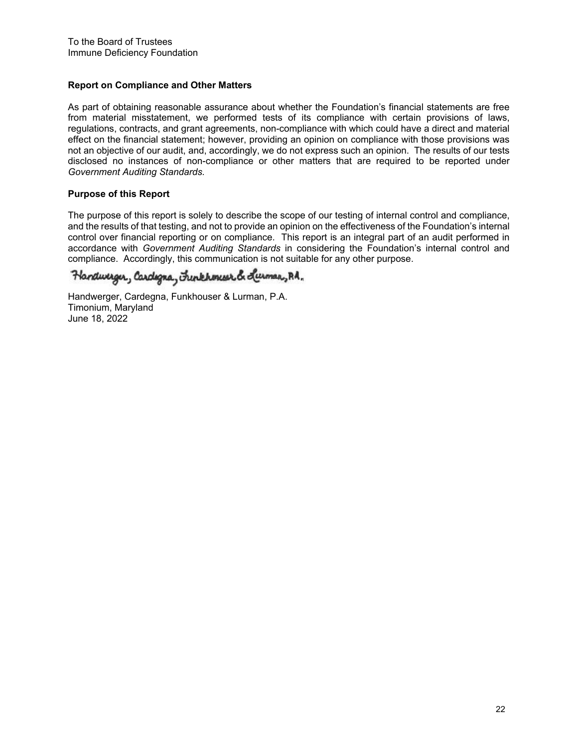#### **Report on Compliance and Other Matters**

As part of obtaining reasonable assurance about whether the Foundation's financial statements are free from material misstatement, we performed tests of its compliance with certain provisions of laws, regulations, contracts, and grant agreements, non-compliance with which could have a direct and material effect on the financial statement; however, providing an opinion on compliance with those provisions was not an objective of our audit, and, accordingly, we do not express such an opinion. The results of our tests disclosed no instances of non-compliance or other matters that are required to be reported under *Government Auditing Standards.*

#### **Purpose of this Report**

The purpose of this report is solely to describe the scope of our testing of internal control and compliance, and the results of that testing, and not to provide an opinion on the effectiveness of the Foundation's internal control over financial reporting or on compliance. This report is an integral part of an audit performed in accordance with *Government Auditing Standards* in considering the Foundation's internal control and compliance. Accordingly, this communication is not suitable for any other purpose.

Handweiger, Cardigna, Funkhoneser & Luman, Rd.

Handwerger, Cardegna, Funkhouser & Lurman, P.A. Timonium, Maryland June 18, 2022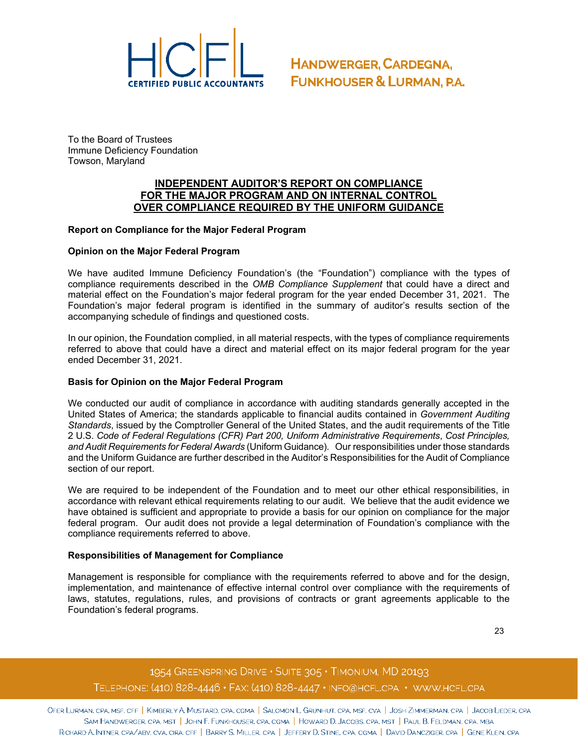

To the Board of Trustees Immune Deficiency Foundation Towson, Maryland

#### **INDEPENDENT AUDITOR'S REPORT ON COMPLIANCE FOR THE MAJOR PROGRAM AND ON INTERNAL CONTROL OVER COMPLIANCE REQUIRED BY THE UNIFORM GUIDANCE**

#### **Report on Compliance for the Major Federal Program**

#### **Opinion on the Major Federal Program**

We have audited Immune Deficiency Foundation's (the "Foundation") compliance with the types of compliance requirements described in the *OMB Compliance Supplement* that could have a direct and material effect on the Foundation's major federal program for the year ended December 31, 2021. The Foundation's major federal program is identified in the summary of auditor's results section of the accompanying schedule of findings and questioned costs.

In our opinion, the Foundation complied, in all material respects, with the types of compliance requirements referred to above that could have a direct and material effect on its major federal program for the year ended December 31, 2021.

#### **Basis for Opinion on the Major Federal Program**

We conducted our audit of compliance in accordance with auditing standards generally accepted in the United States of America; the standards applicable to financial audits contained in *Government Auditing Standards*, issued by the Comptroller General of the United States, and the audit requirements of the Title 2 U.S. *Code of Federal Regulations (CFR) Part 200, Uniform Administrative Requirements*, *Cost Principles, and Audit Requirements for Federal Awards* (Uniform Guidance). Our responsibilities under those standards and the Uniform Guidance are further described in the Auditor's Responsibilities for the Audit of Compliance section of our report.

We are required to be independent of the Foundation and to meet our other ethical responsibilities, in accordance with relevant ethical requirements relating to our audit. We believe that the audit evidence we have obtained is sufficient and appropriate to provide a basis for our opinion on compliance for the major federal program. Our audit does not provide a legal determination of Foundation's compliance with the compliance requirements referred to above.

#### **Responsibilities of Management for Compliance**

Management is responsible for compliance with the requirements referred to above and for the design, implementation, and maintenance of effective internal control over compliance with the requirements of laws, statutes, regulations, rules, and provisions of contracts or grant agreements applicable to the Foundation's federal programs.

23

## 1954 GREENSPRING DRIVE . SUITE 305 . TIMONIUM, MD 20193 TELEPHONE: (410) 828-4446 · FAX: (410) 828-4447 · INFO@HCFL.CPA · WWW.HCFL.CPA

OFER LURMAN, CPA, MSF, CFF | KIMBERLY A. MUSTARD, CPA, CGMA | SALOMON L. GRUNHUT, CPA, MSF, CVA | JOSH ZIMMERMAN, CPA | JACOB LIEDER, CPA SAM HANDWERGER, CPA, MST | JOHN F. FUNKHOUSER, CPA, CGMA | HOWARD D. JACOBS, CPA, MST | PAUL B. FELDMAN, CPA, MBA RICHARD A. INTNER, CPA/ABV, CVA, CIRA, CFF | BARRY S. MILLER, CPA | JEFFERY D. STINE, CPA, CGMA | DAVID DANCZIGER, CPA | GENE KLEIN, CPA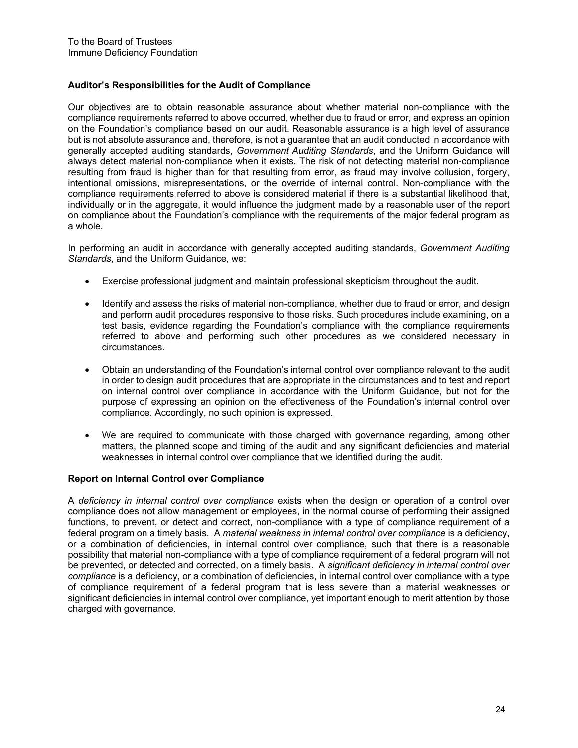#### **Auditor's Responsibilities for the Audit of Compliance**

Our objectives are to obtain reasonable assurance about whether material non-compliance with the compliance requirements referred to above occurred, whether due to fraud or error, and express an opinion on the Foundation's compliance based on our audit. Reasonable assurance is a high level of assurance but is not absolute assurance and, therefore, is not a guarantee that an audit conducted in accordance with generally accepted auditing standards, *Government Auditing Standards*, and the Uniform Guidance will always detect material non-compliance when it exists. The risk of not detecting material non-compliance resulting from fraud is higher than for that resulting from error, as fraud may involve collusion, forgery, intentional omissions, misrepresentations, or the override of internal control. Non-compliance with the compliance requirements referred to above is considered material if there is a substantial likelihood that, individually or in the aggregate, it would influence the judgment made by a reasonable user of the report on compliance about the Foundation's compliance with the requirements of the major federal program as a whole.

In performing an audit in accordance with generally accepted auditing standards, *Government Auditing Standards*, and the Uniform Guidance, we:

- Exercise professional judgment and maintain professional skepticism throughout the audit.
- Identify and assess the risks of material non-compliance, whether due to fraud or error, and design and perform audit procedures responsive to those risks. Such procedures include examining, on a test basis, evidence regarding the Foundation's compliance with the compliance requirements referred to above and performing such other procedures as we considered necessary in circumstances.
- Obtain an understanding of the Foundation's internal control over compliance relevant to the audit in order to design audit procedures that are appropriate in the circumstances and to test and report on internal control over compliance in accordance with the Uniform Guidance, but not for the purpose of expressing an opinion on the effectiveness of the Foundation's internal control over compliance. Accordingly, no such opinion is expressed.
- We are required to communicate with those charged with governance regarding, among other matters, the planned scope and timing of the audit and any significant deficiencies and material weaknesses in internal control over compliance that we identified during the audit.

#### **Report on Internal Control over Compliance**

A *deficiency in internal control over compliance* exists when the design or operation of a control over compliance does not allow management or employees, in the normal course of performing their assigned functions, to prevent, or detect and correct, non-compliance with a type of compliance requirement of a federal program on a timely basis. A *material weakness in internal control over compliance* is a deficiency, or a combination of deficiencies, in internal control over compliance, such that there is a reasonable possibility that material non-compliance with a type of compliance requirement of a federal program will not be prevented, or detected and corrected, on a timely basis. A *significant deficiency in internal control over compliance* is a deficiency, or a combination of deficiencies, in internal control over compliance with a type of compliance requirement of a federal program that is less severe than a material weaknesses or significant deficiencies in internal control over compliance, yet important enough to merit attention by those charged with governance.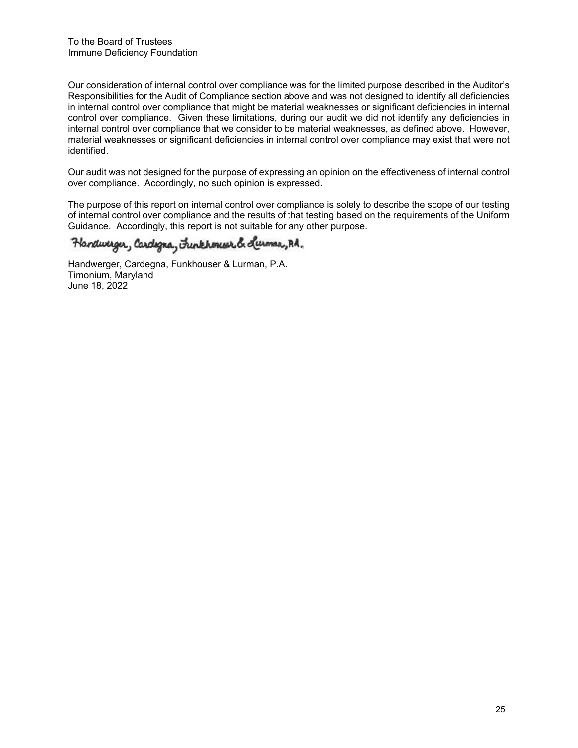Our consideration of internal control over compliance was for the limited purpose described in the Auditor's Responsibilities for the Audit of Compliance section above and was not designed to identify all deficiencies in internal control over compliance that might be material weaknesses or significant deficiencies in internal control over compliance. Given these limitations, during our audit we did not identify any deficiencies in internal control over compliance that we consider to be material weaknesses, as defined above. However, material weaknesses or significant deficiencies in internal control over compliance may exist that were not identified.

Our audit was not designed for the purpose of expressing an opinion on the effectiveness of internal control over compliance. Accordingly, no such opinion is expressed.

The purpose of this report on internal control over compliance is solely to describe the scope of our testing of internal control over compliance and the results of that testing based on the requirements of the Uniform Guidance. Accordingly, this report is not suitable for any other purpose.

## Handwerger, Cardigna, Funkhoneser & Lumar, Rd.

Handwerger, Cardegna, Funkhouser & Lurman, P.A. Timonium, Maryland June 18, 2022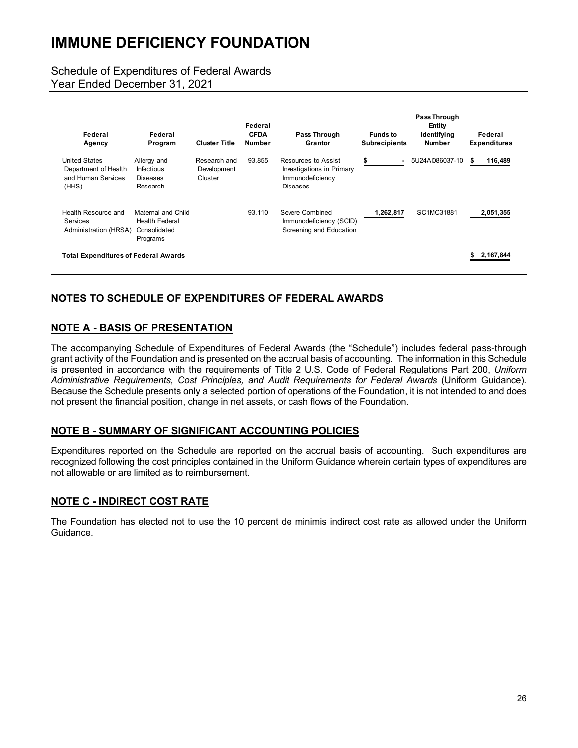## Schedule of Expenditures of Federal Awards

Year Ended December 31, 2021

| Federal<br>Agency                                                           | Federal<br>Program                                                      | <b>Cluster Title</b>                   | Federal<br><b>CFDA</b><br>Number | Pass Through<br>Grantor                                                                 | <b>Funds to</b><br><b>Subrecipients</b> | Pass Through<br>Entity<br>Identifying<br><b>Number</b> | Federal<br><b>Expenditures</b> |
|-----------------------------------------------------------------------------|-------------------------------------------------------------------------|----------------------------------------|----------------------------------|-----------------------------------------------------------------------------------------|-----------------------------------------|--------------------------------------------------------|--------------------------------|
| <b>United States</b><br>Department of Health<br>and Human Services<br>(HHS) | Allergy and<br><b>Infectious</b><br>Diseases<br>Research                | Research and<br>Development<br>Cluster | 93.855                           | Resources to Assist<br>Investigations in Primary<br>Immunodeficiency<br><b>Diseases</b> | \$<br>$\overline{\phantom{0}}$          | 5U24AI086037-10                                        | 116,489<br>S                   |
| Health Resource and<br>Services<br>Administration (HRSA)                    | Maternal and Child<br><b>Health Federal</b><br>Consolidated<br>Programs |                                        | 93.110                           | Severe Combined<br>Immunodeficiency (SCID)<br>Screening and Education                   | 1,262,817                               | SC1MC31881                                             | 2,051,355                      |
| <b>Total Expenditures of Federal Awards</b>                                 |                                                                         |                                        |                                  |                                                                                         |                                         |                                                        | 2.167.844                      |

## **NOTES TO SCHEDULE OF EXPENDITURES OF FEDERAL AWARDS**

## **NOTE A - BASIS OF PRESENTATION**

The accompanying Schedule of Expenditures of Federal Awards (the "Schedule") includes federal pass-through grant activity of the Foundation and is presented on the accrual basis of accounting. The information in this Schedule is presented in accordance with the requirements of Title 2 U.S. Code of Federal Regulations Part 200, *Uniform Administrative Requirements, Cost Principles, and Audit Requirements for Federal Awards* (Uniform Guidance)*.*  Because the Schedule presents only a selected portion of operations of the Foundation, it is not intended to and does not present the financial position, change in net assets, or cash flows of the Foundation.

### **NOTE B - SUMMARY OF SIGNIFICANT ACCOUNTING POLICIES**

Expenditures reported on the Schedule are reported on the accrual basis of accounting. Such expenditures are recognized following the cost principles contained in the Uniform Guidance wherein certain types of expenditures are not allowable or are limited as to reimbursement.

### **NOTE C - INDIRECT COST RATE**

The Foundation has elected not to use the 10 percent de minimis indirect cost rate as allowed under the Uniform Guidance.